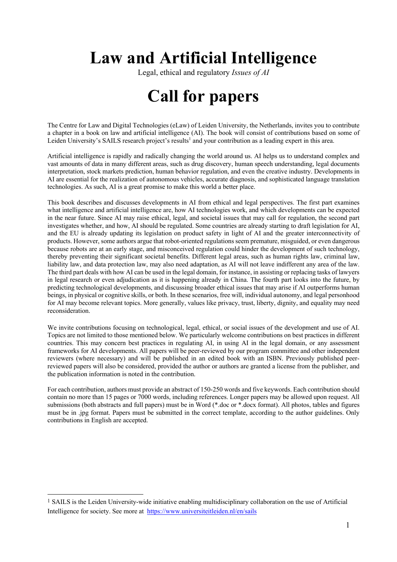# **Law and Artificial Intelligence**

Legal, ethical and regulatory *Issues of AI*

## **Call for papers**

The Centre for Law and Digital Technologies (eLaw) of Leiden University, the Netherlands, invites you to contribute a chapter in a book on law and artificial intelligence (AI). The book will consist of contributions based on some of Leiden University's SAILS research project's results<sup>1</sup> and your contribution as a leading expert in this

Artificial intelligence is rapidly and radically changing the world around us. AI helps us to understand complex and vast amounts of data in many different areas, such as drug discovery, human speech understanding, legal documents interpretation, stock markets prediction, human behavior regulation, and even the creative industry. Developments in AI are essential for the realization of autonomous vehicles, accurate diagnosis, and sophisticated language translation technologies. As such, AI is a great promise to make this world a better place.

This book describes and discusses developments in AI from ethical and legal perspectives. The first part examines what intelligence and artificial intelligence are, how AI technologies work, and which developments can be expected in the near future. Since AI may raise ethical, legal, and societal issues that may call for regulation, the second part investigates whether, and how, AI should be regulated. Some countries are already starting to draft legislation for AI, and the EU is already updating its legislation on product safety in light of AI and the greater interconnectivity of products. However, some authors argue that robot‐oriented regulations seem premature, misguided, or even dangerous because robots are at an early stage, and misconceived regulation could hinder the development of such technology, thereby preventing their significant societal benefits. Different legal areas, such as human rights law, criminal law, liability law, and data protection law, may also need adaptation, as AI will not leave indifferent any area of the law. The third part deals with how AI can be used in the legal domain, for instance, in assisting or replacing tasks of lawyers in legal research or even adjudication as it is happening already in China. The fourth part looks into the future, by predicting technological developments, and discussing broader ethical issues that may arise if AI outperforms human beings, in physical or cognitive skills, or both. In these scenarios, free will, individual autonomy, and legal personhood for AI may become relevant topics. More generally, values like privacy, trust, liberty, dignity, and equality may need reconsideration.

We invite contributions focusing on technological, legal, ethical, or social issues of the development and use of AI. Topics are not limited to those mentioned below. We particularly welcome contributions on best practices in different countries. This may concern best practices in regulating AI, in using AI in the legal domain, or any assessment frameworks for AI developments. All papers will be peer-reviewed by our program committee and other independent reviewers (where necessary) and will be published in an edited book with an ISBN. Previously published peerreviewed papers will also be considered, provided the author or authors are granted a license from the publisher, and the publication information is noted in the contribution.

For each contribution, authors must provide an abstract of 150-250 words and five keywords. Each contribution should contain no more than 15 pages or 7000 words, including references. Longer papers may be allowed upon request. All submissions (both abstracts and full papers) must be in Word (\*.doc or \*.docx format). All photos, tables and figures must be in .jpg format. Papers must be submitted in the correct template, according to the author guidelines. Only contributions in English are accepted.

<sup>1</sup> SAILS is the Leiden University-wide initiative enabling multidisciplinary collaboration on the use of Artificial Intelligence for society. See more at https://www.universiteitleiden.nl/en/sails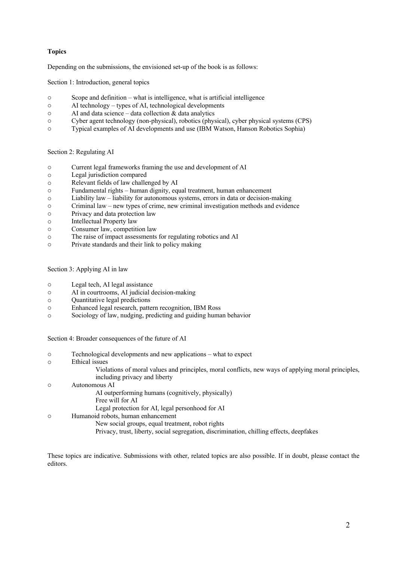## **Topics**

Depending on the submissions, the envisioned set-up of the book is as follows:

Section 1: Introduction, general topics

- o Scope and definition what is intelligence, what is artificial intelligence
- o AI technology types of AI, technological developments
- $\circ$  AI and data science data collection & data analytics
- o Cyber agent technology (non-physical), robotics (physical), cyber physical systems (CPS)
- o Typical examples of AI developments and use (IBM Watson, Hanson Robotics Sophia)

Section 2: Regulating AI

- o Current legal frameworks framing the use and development of AI
- o Legal jurisdiction compared
- o Relevant fields of law challenged by AI
- o Fundamental rights human dignity, equal treatment, human enhancement
- o Liability law liability for autonomous systems, errors in data or decision-making
- o Criminal law new types of crime, new criminal investigation methods and evidence
- o Privacy and data protection law
- o Intellectual Property law
- o Consumer law, competition law
- o The raise of impact assessments for regulating robotics and AI
- o Private standards and their link to policy making

Section 3: Applying AI in law

- o Legal tech, AI legal assistance
- o AI in courtrooms, AI judicial decision-making
- o Quantitative legal predictions
- o Enhanced legal research, pattern recognition, IBM Ross
- o Sociology of law, nudging, predicting and guiding human behavior

Section 4: Broader consequences of the future of AI

- o Technological developments and new applications what to expect
- o Ethical issues

Violations of moral values and principles, moral conflicts, new ways of applying moral principles, including privacy and liberty

- o Autonomous AI AI outperforming humans (cognitively, physically) Free will for AI Legal protection for AI, legal personhood for AI o Humanoid robots, human enhancement
	- New social groups, equal treatment, robot rights
		- Privacy, trust, liberty, social segregation, discrimination, chilling effects, deepfakes

These topics are indicative. Submissions with other, related topics are also possible. If in doubt, please contact the editors.